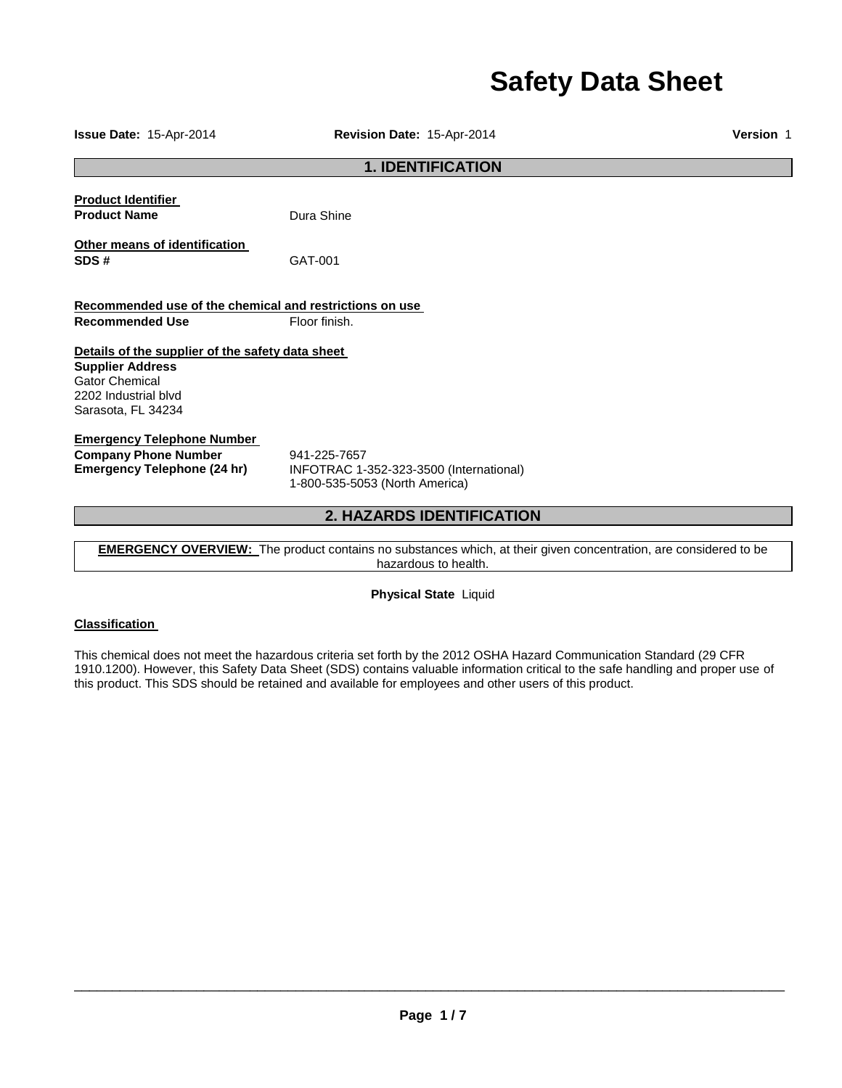# **Safety Data Sheet**

**Issue Date:** 15-Apr-2014 **Revision Date:** 15-Apr-2014 **Version** 1 **1. IDENTIFICATION Product Identifier Product Name Dura Shine Other means of identification SDS #** GAT-001 **Recommended use of the chemical and restrictions on use Recommended Use Floor finish. Details of the supplier of the safety data sheet Supplier Address** Gator Chemical 2202 Industrial blvd Sarasota, FL 34234 **Emergency Telephone Number Company Phone Number** 941-225-7657<br>**Emergency Telephone (24 hr)** INFOTRAC 1-**Emergency Telephone (24 hr)** INFOTRAC 1-352-323-3500 (International) 1-800-535-5053 (North America) **2. HAZARDS IDENTIFICATION** 

**EMERGENCY OVERVIEW:** The product contains no substances which, at their given concentration, are considered to be hazardous to health.

**Physical State** Liquid

### **Classification**

This chemical does not meet the hazardous criteria set forth by the 2012 OSHA Hazard Communication Standard (29 CFR 1910.1200). However, this Safety Data Sheet (SDS) contains valuable information critical to the safe handling and proper use of this product. This SDS should be retained and available for employees and other users of this product.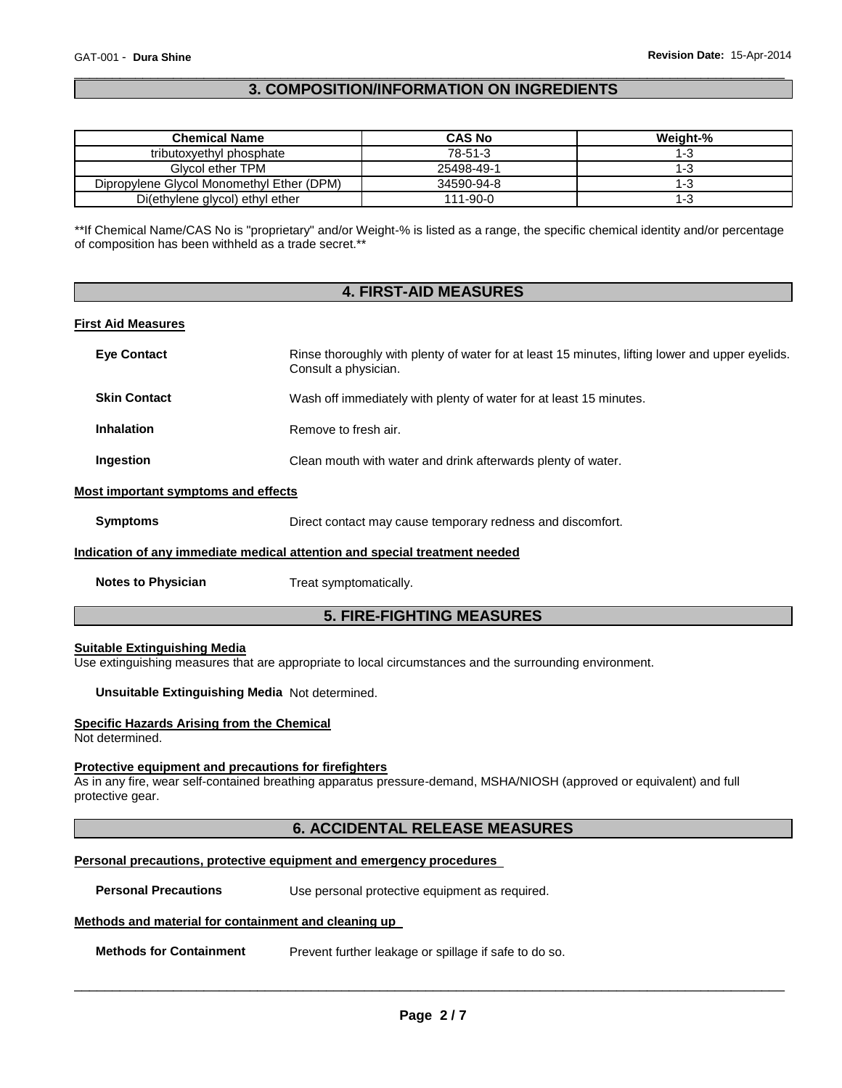#### \_\_\_\_\_\_\_\_\_\_\_\_\_\_\_\_\_\_\_\_\_\_\_\_\_\_\_\_\_\_\_\_\_\_\_\_\_\_\_\_\_\_\_\_\_\_\_\_\_\_\_\_\_\_\_\_\_\_\_\_\_\_\_\_\_\_\_\_\_\_\_\_\_\_\_\_\_\_\_\_\_\_\_\_\_\_\_\_\_\_\_\_\_ **3. COMPOSITION/INFORMATION ON INGREDIENTS**

| <b>Chemical Name</b>                      | <b>CAS No</b> | Weight-% |
|-------------------------------------------|---------------|----------|
| tributoxyethyl phosphate                  | 78-51-3       | 1-3      |
| Glycol ether TPM                          | 25498-49-1    | 1-3      |
| Dipropylene Glycol Monomethyl Ether (DPM) | 34590-94-8    | 1-3      |
| Di(ethylene glycol) ethyl ether           | 111-90-0      | l-3      |

\*\*If Chemical Name/CAS No is "proprietary" and/or Weight-% is listed as a range, the specific chemical identity and/or percentage of composition has been withheld as a trade secret.\*\*

| <b>4. FIRST-AID MEASURES</b>        |                                                                                                                         |  |
|-------------------------------------|-------------------------------------------------------------------------------------------------------------------------|--|
| <b>First Aid Measures</b>           |                                                                                                                         |  |
| <b>Eye Contact</b>                  | Rinse thoroughly with plenty of water for at least 15 minutes, lifting lower and upper eyelids.<br>Consult a physician. |  |
| <b>Skin Contact</b>                 | Wash off immediately with plenty of water for at least 15 minutes.                                                      |  |
| <b>Inhalation</b>                   | Remove to fresh air.                                                                                                    |  |
| <b>Ingestion</b>                    | Clean mouth with water and drink afterwards plenty of water.                                                            |  |
| Most important symptoms and effects |                                                                                                                         |  |
| <b>Symptoms</b>                     | Direct contact may cause temporary redness and discomfort.                                                              |  |
|                                     | Indication of any immediate medical attention and special treatment needed                                              |  |
| <b>Notes to Physician</b>           | Treat symptomatically.                                                                                                  |  |

# **5. FIRE-FIGHTING MEASURES**

#### **Suitable Extinguishing Media**

Use extinguishing measures that are appropriate to local circumstances and the surrounding environment.

**Unsuitable Extinguishing Media** Not determined.

#### **Specific Hazards Arising from the Chemical**

Not determined.

#### **Protective equipment and precautions for firefighters**

As in any fire, wear self-contained breathing apparatus pressure-demand, MSHA/NIOSH (approved or equivalent) and full protective gear.

### **6. ACCIDENTAL RELEASE MEASURES**

#### **Personal precautions, protective equipment and emergency procedures**

**Personal Precautions Use personal protective equipment as required.** 

#### **Methods and material for containment and cleaning up**

**Methods for Containment** Prevent further leakage or spillage if safe to do so.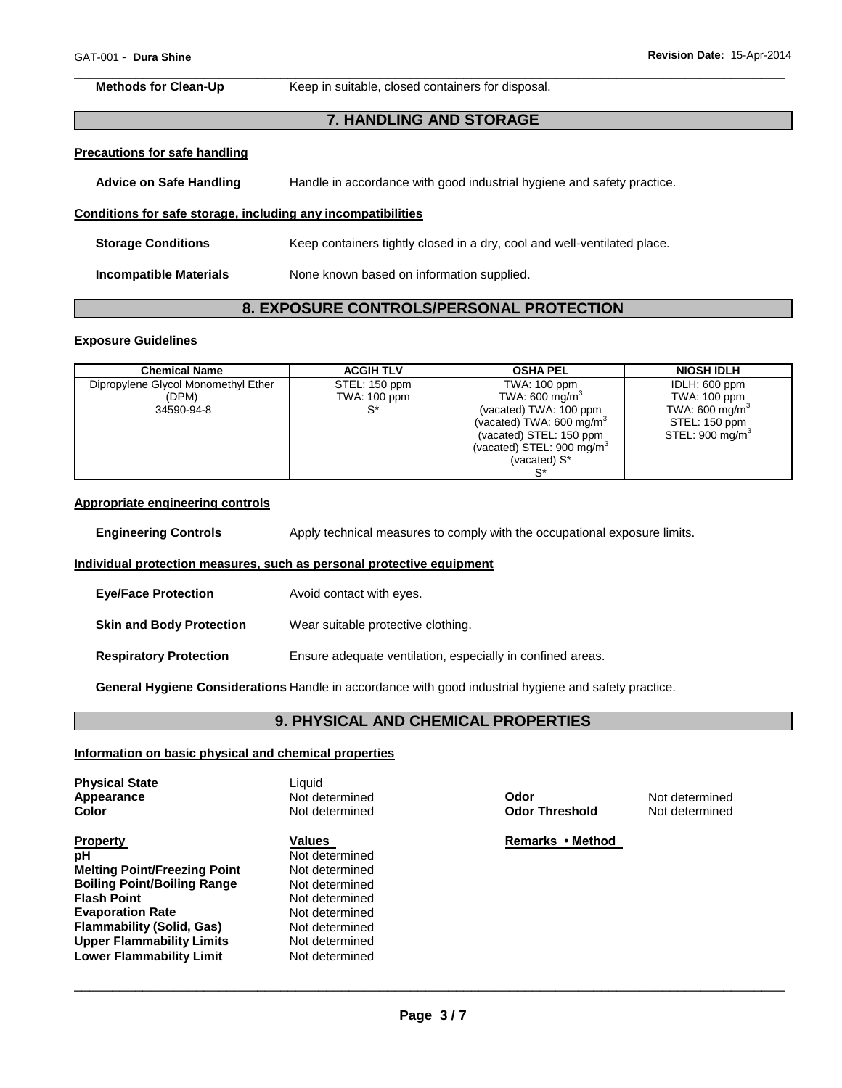\_\_\_\_\_\_\_\_\_\_\_\_\_\_\_\_\_\_\_\_\_\_\_\_\_\_\_\_\_\_\_\_\_\_\_\_\_\_\_\_\_\_\_\_\_\_\_\_\_\_\_\_\_\_\_\_\_\_\_\_\_\_\_\_\_\_\_\_\_\_\_\_\_\_\_\_\_\_\_\_\_\_\_\_\_\_\_\_\_\_\_\_\_ **Methods for Clean-Up Keep in suitable, closed containers for disposal.** 

#### **7. HANDLING AND STORAGE**

## **Precautions for safe handling**

| <b>Advice on Safe Handling</b> | Handle in accordance with good industrial hygiene and safety practice. |
|--------------------------------|------------------------------------------------------------------------|
|--------------------------------|------------------------------------------------------------------------|

#### **Conditions for safe storage, including any incompatibilities**

| <b>Storage Conditions</b> | Keep containers tightly closed in a dry, cool and well-ventilated place. |
|---------------------------|--------------------------------------------------------------------------|
| Incompatible Materials    | None known based on information supplied.                                |

# **8. EXPOSURE CONTROLS/PERSONAL PROTECTION**

#### **Exposure Guidelines**

| <b>Chemical Name</b>                | <b>ACGIH TLV</b> | <b>OSHA PEL</b>                     | <b>NIOSH IDLH</b>           |
|-------------------------------------|------------------|-------------------------------------|-----------------------------|
| Dipropylene Glycol Monomethyl Ether | STEL: 150 ppm    | TWA: 100 ppm                        | IDLH: 600 ppm               |
| (DPM)                               | TWA: 100 ppm     | TWA: 600 mg/m <sup>3</sup>          | TWA: 100 ppm                |
| 34590-94-8                          |                  | (vacated) TWA: 100 ppm              | TWA: 600 mg/m <sup>3</sup>  |
|                                     |                  | (vacated) TWA: $600 \text{ mg/m}^3$ | STEL: 150 ppm               |
|                                     |                  | (vacated) STEL: 150 ppm             | STEL: 900 mg/m <sup>3</sup> |
|                                     |                  | (vacated) STEL: 900 mg/m $3$        |                             |
|                                     |                  | (vacated) S*                        |                             |
|                                     |                  |                                     |                             |

#### **Appropriate engineering controls**

**Engineering Controls** Apply technical measures to comply with the occupational exposure limits.

#### **Individual protection measures, such as personal protective equipment**

| <b>Eye/Face Protection</b>      | Avoid contact with eyes.                                   |
|---------------------------------|------------------------------------------------------------|
| <b>Skin and Body Protection</b> | Wear suitable protective clothing.                         |
| <b>Respiratory Protection</b>   | Ensure adequate ventilation, especially in confined areas. |

**General Hygiene Considerations** Handle in accordance with good industrial hygiene and safety practice.

# **9. PHYSICAL AND CHEMICAL PROPERTIES**

#### **Information on basic physical and chemical properties**

| <b>Physical State</b><br>Appearance<br>Color | Liauid<br>Not determined<br>Not determined | Odor<br><b>Odor Threshold</b> | Not determined<br>Not determined |
|----------------------------------------------|--------------------------------------------|-------------------------------|----------------------------------|
| <b>Property</b>                              | Values                                     | Remarks • Method              |                                  |
| рH                                           | Not determined                             |                               |                                  |
| <b>Melting Point/Freezing Point</b>          | Not determined                             |                               |                                  |
| <b>Boiling Point/Boiling Range</b>           | Not determined                             |                               |                                  |
| <b>Flash Point</b>                           | Not determined                             |                               |                                  |
| <b>Evaporation Rate</b>                      | Not determined                             |                               |                                  |
| <b>Flammability (Solid, Gas)</b>             | Not determined                             |                               |                                  |
| <b>Upper Flammability Limits</b>             | Not determined                             |                               |                                  |
| Lower Flammability Limit                     | Not determined                             |                               |                                  |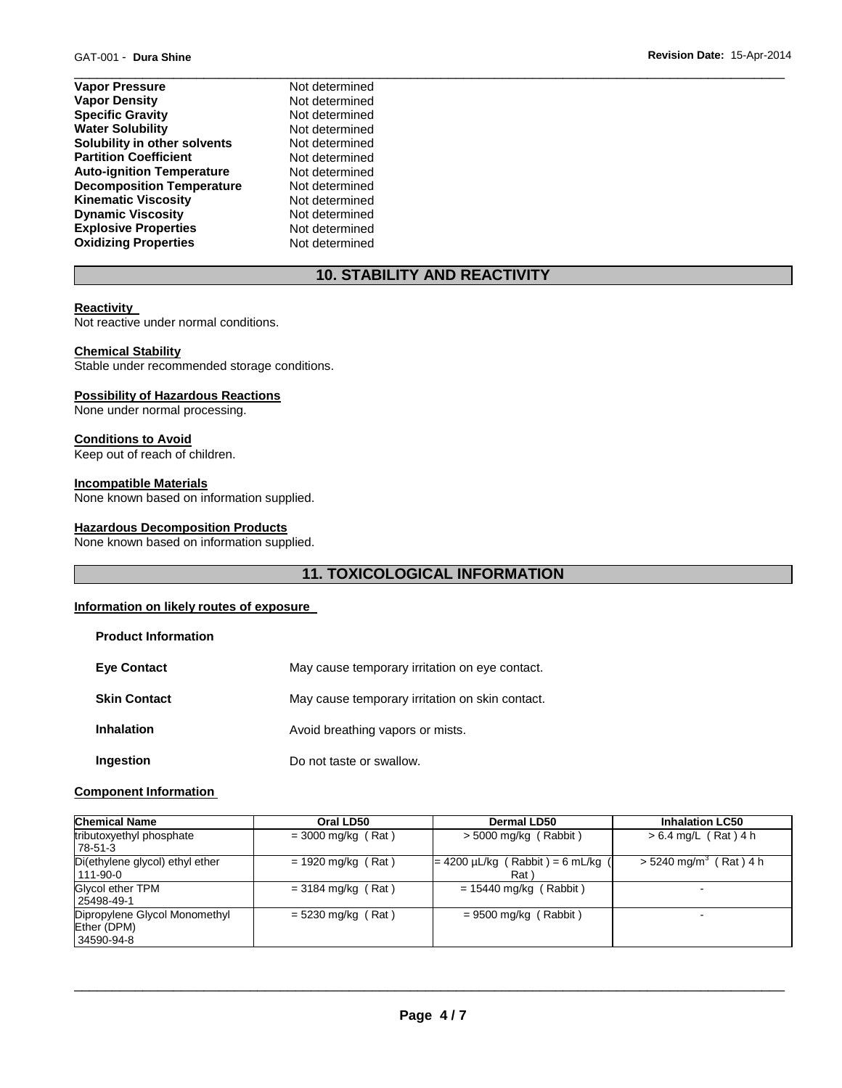- **Vapor Pressure**  Not determined **Vapor Density Not determined Specific Gravity Not determined Water Solubility Not determined Solubility in other solvents Not determined**<br> **Partition Coefficient Not determined Partition Coefficient Auto-ignition Temperature** Not determined **Decomposition Temperature** Not determined **Kinematic Viscosity Not determined**<br> **Discussity Not determined Dynamic Viscosity Explosive Properties** Not determined **Oxidizing Properties** Not determined
	-

# **10. STABILITY AND REACTIVITY**

\_\_\_\_\_\_\_\_\_\_\_\_\_\_\_\_\_\_\_\_\_\_\_\_\_\_\_\_\_\_\_\_\_\_\_\_\_\_\_\_\_\_\_\_\_\_\_\_\_\_\_\_\_\_\_\_\_\_\_\_\_\_\_\_\_\_\_\_\_\_\_\_\_\_\_\_\_\_\_\_\_\_\_\_\_\_\_\_\_\_\_\_\_

#### **Reactivity**

Not reactive under normal conditions.

#### **Chemical Stability**

Stable under recommended storage conditions.

#### **Possibility of Hazardous Reactions**

None under normal processing.

#### **Conditions to Avoid**

Keep out of reach of children.

#### **Incompatible Materials**

None known based on information supplied.

#### **Hazardous Decomposition Products**

None known based on information supplied.

# **11. TOXICOLOGICAL INFORMATION**

#### **Information on likely routes of exposure**

| <b>Product Information</b> |                                                 |
|----------------------------|-------------------------------------------------|
| <b>Eye Contact</b>         | May cause temporary irritation on eye contact.  |
| <b>Skin Contact</b>        | May cause temporary irritation on skin contact. |
| <b>Inhalation</b>          | Avoid breathing vapors or mists.                |
| Ingestion                  | Do not taste or swallow.                        |

#### **Component Information**

| <b>Chemical Name</b>                                       | Oral LD50            | Dermal LD50                                    | <b>Inhalation LC50</b>               |
|------------------------------------------------------------|----------------------|------------------------------------------------|--------------------------------------|
| tributoxyethyl phosphate<br>78-51-3                        | $=$ 3000 mg/kg (Rat) | $>$ 5000 mg/kg (Rabbit)                        | $> 6.4$ mg/L (Rat) 4 h               |
| Di(ethylene glycol) ethyl ether<br>111-90-0                | $= 1920$ mg/kg (Rat) | $= 4200 \mu L/kg$ (Rabbit) = 6 mL/kg (<br>Rat) | $>$ 5240 mg/m <sup>3</sup> (Rat) 4 h |
| Glycol ether TPM<br>25498-49-1                             | $= 3184$ mg/kg (Rat) | $= 15440$ mg/kg (Rabbit)                       | -                                    |
| Dipropylene Glycol Monomethyl<br>Ether (DPM)<br>34590-94-8 | $= 5230$ mg/kg (Rat) | $= 9500$ mg/kg (Rabbit)                        | -                                    |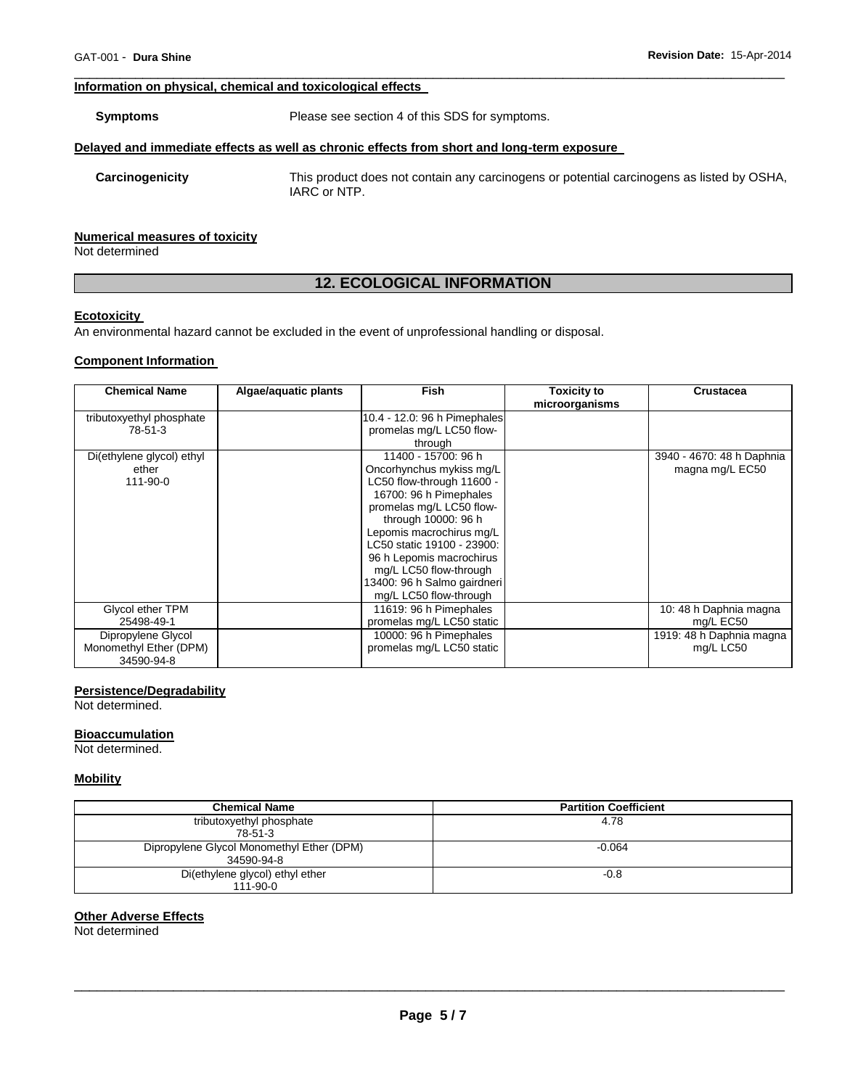#### **Information on physical, chemical and toxicological effects**

**Symptoms** Please see section 4 of this SDS for symptoms.

#### **Delayed and immediate effects as well as chronic effects from short and long-term exposure**

**Carcinogenicity** This product does not contain any carcinogens or potential carcinogens as listed by OSHA, IARC or NTP.

#### **Numerical measures of toxicity**

Not determined

# **12. ECOLOGICAL INFORMATION**

\_\_\_\_\_\_\_\_\_\_\_\_\_\_\_\_\_\_\_\_\_\_\_\_\_\_\_\_\_\_\_\_\_\_\_\_\_\_\_\_\_\_\_\_\_\_\_\_\_\_\_\_\_\_\_\_\_\_\_\_\_\_\_\_\_\_\_\_\_\_\_\_\_\_\_\_\_\_\_\_\_\_\_\_\_\_\_\_\_\_\_\_\_

#### **Ecotoxicity**

An environmental hazard cannot be excluded in the event of unprofessional handling or disposal.

#### **Component Information**

| <b>Chemical Name</b>      | Algae/aquatic plants | <b>Fish</b>                  | <b>Toxicity to</b> | <b>Crustacea</b>          |
|---------------------------|----------------------|------------------------------|--------------------|---------------------------|
|                           |                      |                              | microorganisms     |                           |
| tributoxyethyl phosphate  |                      | 10.4 - 12.0: 96 h Pimephales |                    |                           |
| 78-51-3                   |                      | promelas mg/L LC50 flow-     |                    |                           |
|                           |                      | through                      |                    |                           |
| Di(ethylene glycol) ethyl |                      | 11400 - 15700: 96 h          |                    | 3940 - 4670: 48 h Daphnia |
| ether                     |                      | Oncorhynchus mykiss mg/L     |                    | magna mg/L EC50           |
| 111-90-0                  |                      | LC50 flow-through 11600 -    |                    |                           |
|                           |                      | 16700: 96 h Pimephales       |                    |                           |
|                           |                      | promelas mg/L LC50 flow-     |                    |                           |
|                           |                      | through 10000: 96 h          |                    |                           |
|                           |                      | Lepomis macrochirus mg/L     |                    |                           |
|                           |                      | LC50 static 19100 - 23900:   |                    |                           |
|                           |                      | 96 h Lepomis macrochirus     |                    |                           |
|                           |                      | mg/L LC50 flow-through       |                    |                           |
|                           |                      | 13400: 96 h Salmo gairdneri  |                    |                           |
|                           |                      | mg/L LC50 flow-through       |                    |                           |
| Glycol ether TPM          |                      | 11619: 96 h Pimephales       |                    | 10: 48 h Daphnia magna    |
| 25498-49-1                |                      | promelas mg/L LC50 static    |                    | mg/L EC50                 |
| Dipropylene Glycol        |                      | 10000: 96 h Pimephales       |                    | 1919: 48 h Daphnia magna  |
| Monomethyl Ether (DPM)    |                      | promelas mg/L LC50 static    |                    | mg/L LC50                 |
| 34590-94-8                |                      |                              |                    |                           |

#### **Persistence/Degradability**

Not determined.

#### **Bioaccumulation**

Not determined.

#### **Mobility**

| <b>Chemical Name</b>                                    | <b>Partition Coefficient</b> |
|---------------------------------------------------------|------------------------------|
| tributoxyethyl phosphate<br>78-51-3                     | 4.78                         |
| Dipropylene Glycol Monomethyl Ether (DPM)<br>34590-94-8 | $-0.064$                     |
| Di(ethylene glycol) ethyl ether<br>$111 - 90 - 0$       | $-0.8$                       |

#### **Other Adverse Effects**

Not determined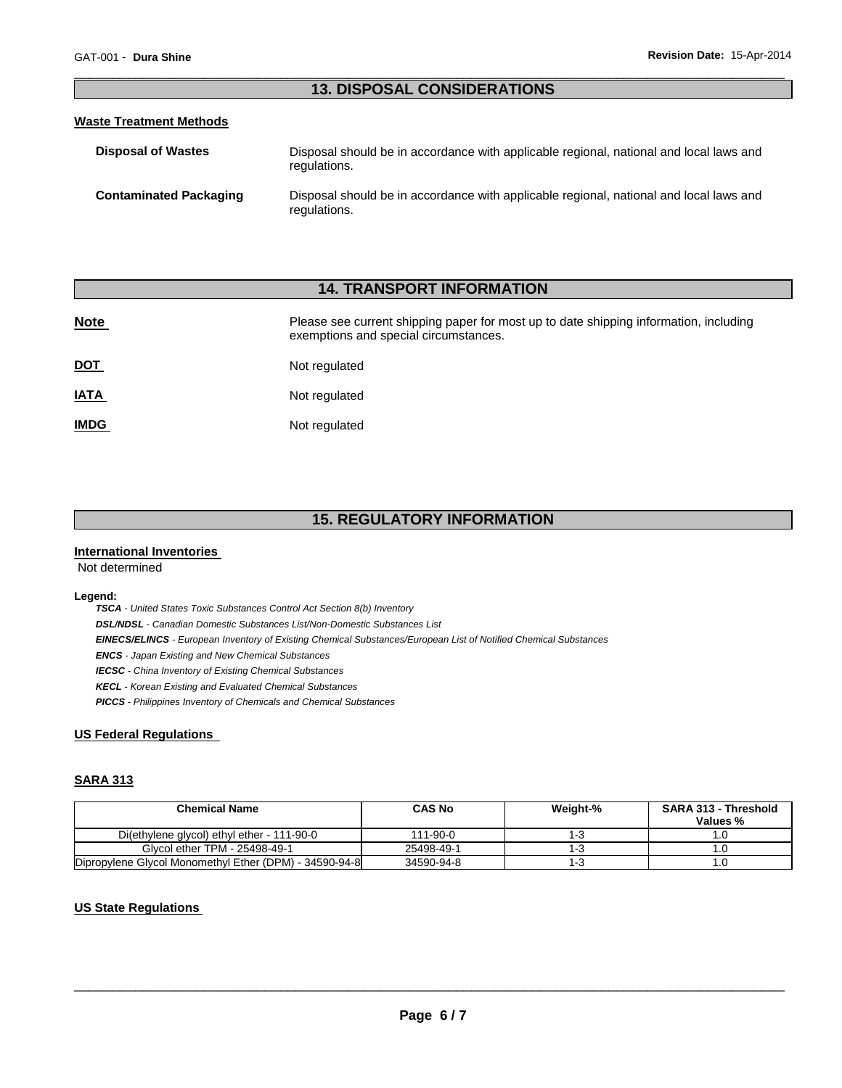#### \_\_\_\_\_\_\_\_\_\_\_\_\_\_\_\_\_\_\_\_\_\_\_\_\_\_\_\_\_\_\_\_\_\_\_\_\_\_\_\_\_\_\_\_\_\_\_\_\_\_\_\_\_\_\_\_\_\_\_\_\_\_\_\_\_\_\_\_\_\_\_\_\_\_\_\_\_\_\_\_\_\_\_\_\_\_\_\_\_\_\_\_\_ **13. DISPOSAL CONSIDERATIONS**

#### **Waste Treatment Methods**

| <b>Disposal of Wastes</b>     | Disposal should be in accordance with applicable regional, national and local laws and<br>regulations. |
|-------------------------------|--------------------------------------------------------------------------------------------------------|
| <b>Contaminated Packaging</b> | Disposal should be in accordance with applicable regional, national and local laws and<br>regulations. |

# **14. TRANSPORT INFORMATION**

| <b>Note</b> | Please see current shipping paper for most up to date shipping information, including<br>exemptions and special circumstances. |
|-------------|--------------------------------------------------------------------------------------------------------------------------------|
| <u>DOT</u>  | Not regulated                                                                                                                  |
| <u>IATA</u> | Not regulated                                                                                                                  |
| <b>IMDG</b> | Not regulated                                                                                                                  |

# **15. REGULATORY INFORMATION**

#### **International Inventories**

Not determined

#### **Legend:**

*TSCA - United States Toxic Substances Control Act Section 8(b) Inventory DSL/NDSL - Canadian Domestic Substances List/Non-Domestic Substances List EINECS/ELINCS - European Inventory of Existing Chemical Substances/European List of Notified Chemical Substances ENCS - Japan Existing and New Chemical Substances IECSC - China Inventory of Existing Chemical Substances KECL - Korean Existing and Evaluated Chemical Substances PICCS - Philippines Inventory of Chemicals and Chemical Substances* 

#### **US Federal Regulations**

#### **SARA 313**

| <b>Chemical Name</b>                                   | <b>CAS No</b> | Weight-% | <b>SARA 313 - Threshold</b><br>Values % |
|--------------------------------------------------------|---------------|----------|-----------------------------------------|
|                                                        |               |          |                                         |
| Di(ethylene glycol) ethyl ether - 111-90-0             | 111-90-0      | 1-3      |                                         |
| Glycol ether TPM - 25498-49-1                          | 25498-49-1    | 1-3      |                                         |
| Dipropylene Glycol Monomethyl Ether (DPM) - 34590-94-8 | 34590-94-8    | 1-3      | .U                                      |

#### **US State Regulations**